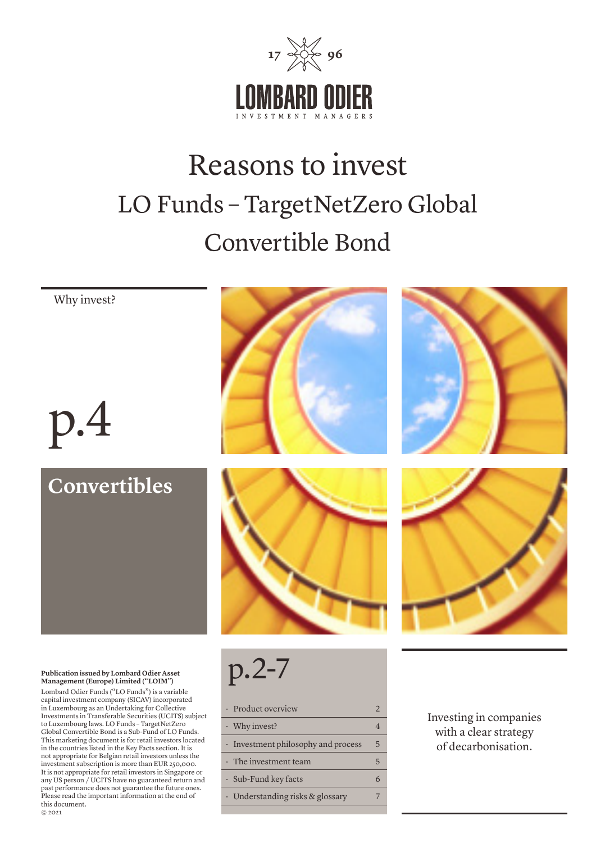

# Reasons to invest LO Funds – TargetNetZero Global Convertible Bond



Understanding risks & glossary 7

this document. © 2021

Please read the important information at the end of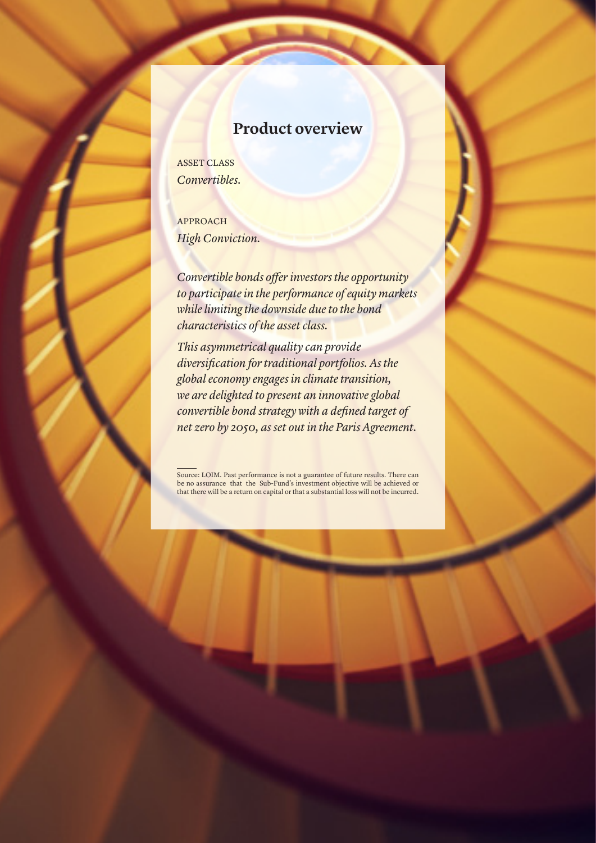### **Product overview**

ASSET CLASS *Convertibles.*

APPROACH *High Conviction.*

*Convertible bonds offer investors the opportunity to participate in the performance of equity markets while limiting the downside due to the bond characteristics of the asset class.* 

*This asymmetrical quality can provide diversification for traditional portfolios. As the global economy engages in climate transition, we are delighted to present an innovative global convertible bond strategy with a defined target of net zero by 2050, as set out in the Paris Agreement.*

Source: LOIM. Past performance is not a guarantee of future results. There can be no assurance that the Sub-Fund's investment objective will be achieved or that there will be a return on capital or that a substantial loss will not be incurred.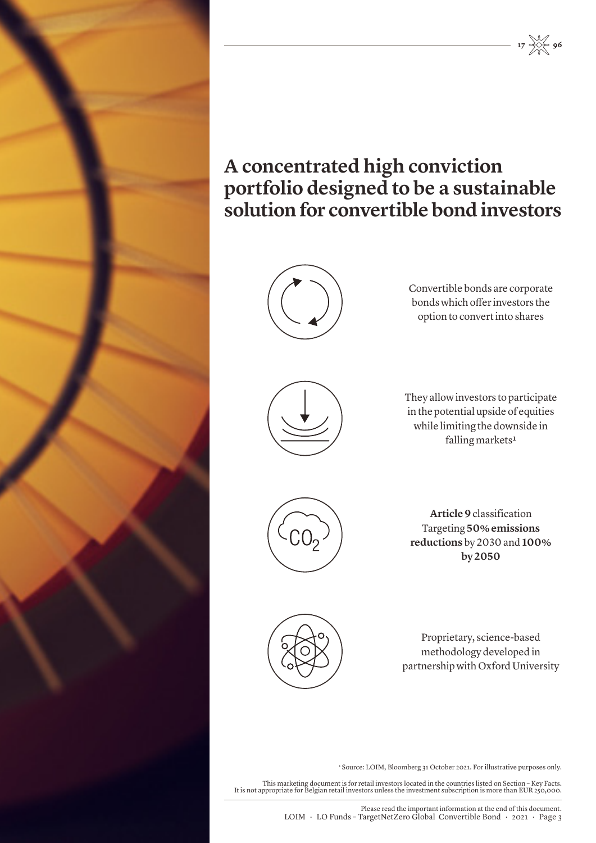

### **A concentrated high conviction portfolio designed to be a sustainable solution for convertible bond investors**



Convertible bonds are corporate bonds which offer investors the option to convert into shares

 $17 \frac{1}{200} 96$ 



They allow investors to participate in the potential upside of equities while limiting the downside in falling markets<sup>1</sup>



**Article 9** classification Targeting **50% emissions reductions** by 2030 and **100% by 2050**



Proprietary, science-based methodology developed in partnership with Oxford University

1 Source: LOIM, Bloomberg 31 October 2021. For illustrative purposes only.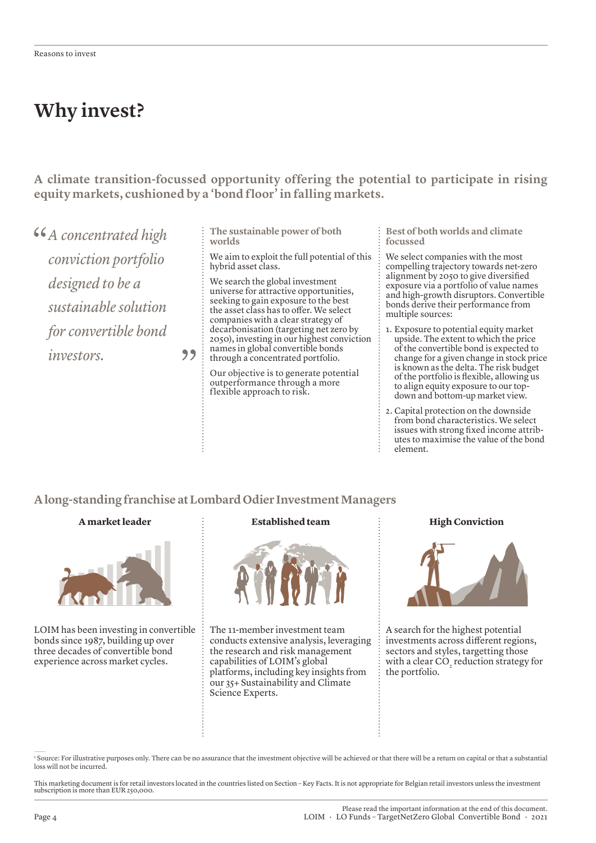### **Why invest?**

**A climate transition-focussed opportunity offering the potential to participate in rising equity markets, cushioned by a 'bond floor' in falling markets.** 

*A concentrated high conviction portfolio designed to be a sustainable solution for convertible bond investors.*

**The sustainable power of both worlds**

We aim to exploit the full potential of this hybrid asset class.

We search the global investment universe for attractive opportunities, seeking to gain exposure to the best the asset class has to offer. We select companies with a clear strategy of decarbonisation (targeting net zero by 2050), investing in our highest conviction names in global convertible bonds through a concentrated portfolio.

Our objective is to generate potential outperformance through a more flexible approach to risk.

**Best of both worlds and climate focussed**

We select companies with the most compelling trajectory towards net-zero alignment by 2050 to give diversified exposure via a portfolio of value names and high-growth disruptors. Convertible bonds derive their performance from multiple sources:

- 1. Exposure to potential equity market upside. The extent to which the price of the convertible bond is expected to change for a given change in stock price is known as the delta. The risk budget of the portfolio is flexible, allowing us to align equity exposure to our topdown and bottom-up market view.
- 2. Capital protection on the downside from bond characteristics. We select issues with strong fixed income attributes to maximise the value of the bond element.

**A long-standing franchise at Lombard Odier Investment Managers**

 $99$  :

#### **A market leader**



LOIM has been investing in convertible bonds since 1987, building up over three decades of convertible bond experience across market cycles.

#### **Established team Figh Conviction**



The 11-member investment team conducts extensive analysis, leveraging the research and risk management capabilities of LOIM's global platforms, including key insights from our 35+ Sustainability and Climate Science Experts.



A search for the highest potential investments across different regions, sectors and styles, targetting those with a clear CO<sub>2</sub> reduction strategy for the portfolio.

1 Source: For illustrative purposes only. There can be no assurance that the investment objective will be achieved or that there will be a return on capital or that a substantial loss will not be incurred.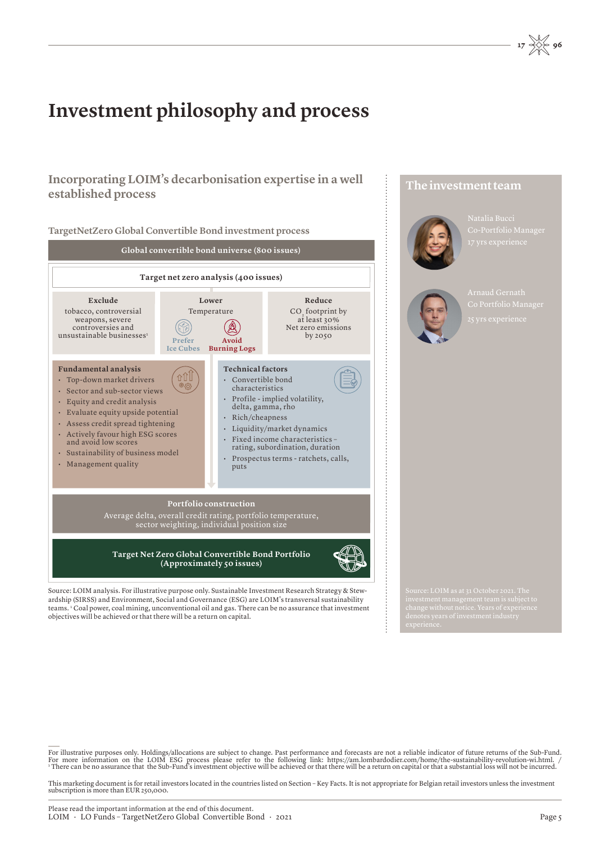### **Investment philosophy and process**

### **Incorporating LOIM's decarbonisation expertise in a well established process**



ardship (SIRSS) and Environment, Social and Governance (ESG) are LOIM's transversal sustainability teams. 1 Coal power, coal mining, unconventional oil and gas. There can be no assurance that investment objectives will be achieved or that there will be a return on capital.

**The investment team**



Natalia Bucci



For illustrative purposes only. Holdings/allocations are subject to change. Past performance and forecasts are not a reliable indicator of future returns of the Sub-Fund.<br>For more information on the LOIM ESG process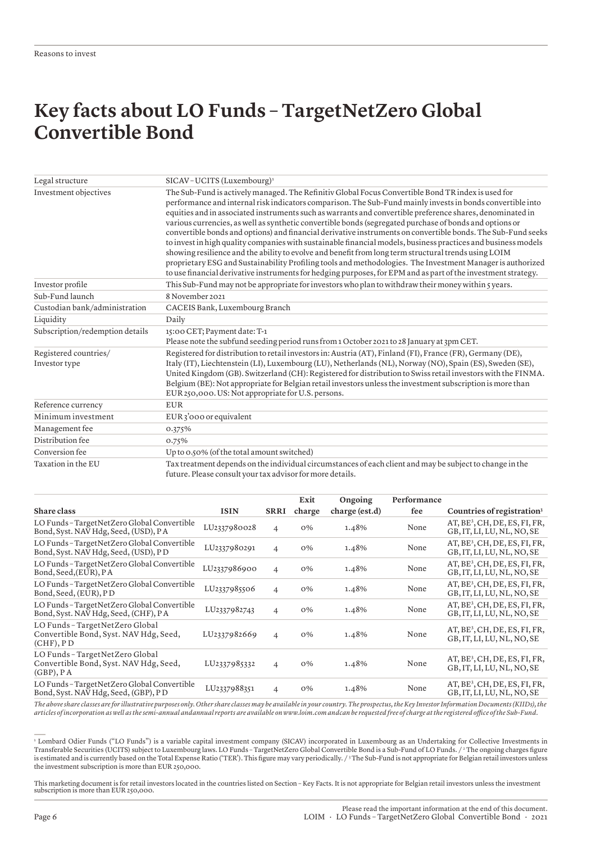### **Key facts about LO Funds – TargetNetZero Global Convertible Bond**

| Legal structure                        | SICAV-UCITS (Luxembourg) <sup>1</sup>                                                                                                                                                                                                                                                                                                                                                                                                                                                                                                                                                                                                                                                                                                                                                                                                                                                                                                                                                                            |  |  |  |  |
|----------------------------------------|------------------------------------------------------------------------------------------------------------------------------------------------------------------------------------------------------------------------------------------------------------------------------------------------------------------------------------------------------------------------------------------------------------------------------------------------------------------------------------------------------------------------------------------------------------------------------------------------------------------------------------------------------------------------------------------------------------------------------------------------------------------------------------------------------------------------------------------------------------------------------------------------------------------------------------------------------------------------------------------------------------------|--|--|--|--|
| Investment objectives                  | The Sub-Fund is actively managed. The Refinitiv Global Focus Convertible Bond TR index is used for<br>performance and internal risk indicators comparison. The Sub-Fund mainly invests in bonds convertible into<br>equities and in associated instruments such as warrants and convertible preference shares, denominated in<br>various currencies, as well as synthetic convertible bonds (segregated purchase of bonds and options or<br>convertible bonds and options) and financial derivative instruments on convertible bonds. The Sub-Fund seeks<br>to invest in high quality companies with sustainable financial models, business practices and business models<br>showing resilience and the ability to evolve and benefit from long term structural trends using LOIM<br>proprietary ESG and Sustainability Profiling tools and methodologies. The Investment Manager is authorized<br>to use financial derivative instruments for hedging purposes, for EPM and as part of the investment strategy. |  |  |  |  |
| Investor profile                       | This Sub-Fund may not be appropriate for investors who plan to withdraw their money within $\zeta$ years.                                                                                                                                                                                                                                                                                                                                                                                                                                                                                                                                                                                                                                                                                                                                                                                                                                                                                                        |  |  |  |  |
| Sub-Fund launch                        | 8 November 2021                                                                                                                                                                                                                                                                                                                                                                                                                                                                                                                                                                                                                                                                                                                                                                                                                                                                                                                                                                                                  |  |  |  |  |
| Custodian bank/administration          | CACEIS Bank, Luxembourg Branch                                                                                                                                                                                                                                                                                                                                                                                                                                                                                                                                                                                                                                                                                                                                                                                                                                                                                                                                                                                   |  |  |  |  |
| Liquidity                              | Daily                                                                                                                                                                                                                                                                                                                                                                                                                                                                                                                                                                                                                                                                                                                                                                                                                                                                                                                                                                                                            |  |  |  |  |
| Subscription/redemption details        | 15:00 CET; Payment date: T-1<br>Please note the subfund seeding period runs from 1 October 2021 to 28 January at 3pm CET.                                                                                                                                                                                                                                                                                                                                                                                                                                                                                                                                                                                                                                                                                                                                                                                                                                                                                        |  |  |  |  |
| Registered countries/<br>Investor type | Registered for distribution to retail investors in: Austria (AT), Finland (FI), France (FR), Germany (DE),<br>Italy (IT), Liechtenstein (LI), Luxembourg (LU), Netherlands (NL), Norway (NO), Spain (ES), Sweden (SE),<br>United Kingdom (GB). Switzerland (CH): Registered for distribution to Swiss retail investors with the FINMA.<br>Belgium (BE): Not appropriate for Belgian retail investors unless the investment subscription is more than<br>EUR 250,000. US: Not appropriate for U.S. persons.                                                                                                                                                                                                                                                                                                                                                                                                                                                                                                       |  |  |  |  |
| Reference currency                     | <b>EUR</b>                                                                                                                                                                                                                                                                                                                                                                                                                                                                                                                                                                                                                                                                                                                                                                                                                                                                                                                                                                                                       |  |  |  |  |
| Minimum investment                     | EUR 3'000 or equivalent                                                                                                                                                                                                                                                                                                                                                                                                                                                                                                                                                                                                                                                                                                                                                                                                                                                                                                                                                                                          |  |  |  |  |
| Management fee                         | 0.375%                                                                                                                                                                                                                                                                                                                                                                                                                                                                                                                                                                                                                                                                                                                                                                                                                                                                                                                                                                                                           |  |  |  |  |
| Distribution fee                       | 0.75%                                                                                                                                                                                                                                                                                                                                                                                                                                                                                                                                                                                                                                                                                                                                                                                                                                                                                                                                                                                                            |  |  |  |  |
| Conversion fee                         | Up to 0.50% (of the total amount switched)                                                                                                                                                                                                                                                                                                                                                                                                                                                                                                                                                                                                                                                                                                                                                                                                                                                                                                                                                                       |  |  |  |  |
| Taxation in the EU                     | Tax treatment depends on the individual circumstances of each client and may be subject to change in the<br>future. Please consult your tax advisor for more details.                                                                                                                                                                                                                                                                                                                                                                                                                                                                                                                                                                                                                                                                                                                                                                                                                                            |  |  |  |  |

|                                                                                             |              |                          | Exit   | Ongoing        | Performance |                                                                         |
|---------------------------------------------------------------------------------------------|--------------|--------------------------|--------|----------------|-------------|-------------------------------------------------------------------------|
| Share class                                                                                 | <b>ISIN</b>  | <b>SRRI</b>              | charge | charge (est.d) | fee         | Countries of registration <sup>3</sup>                                  |
| LO Funds - TargetNetZero Global Convertible<br>Bond, Syst. NAV Hdg, Seed, (USD), PA         | LU2337980028 | $\overline{\mathcal{L}}$ | $O\%$  | 1.48%          | None        | $AT, BE3, CH, DE, ES, FI, FR,$<br>GB, IT, LI, LU, NL, NO, SE            |
| LO Funds - Target Net Zero Global Convertible<br>Bond, Syst. NAV Hdg, Seed, (USD), PD       | LU2337980291 | $\overline{4}$           | $O\%$  | 1.48%          | None        | AT, BE <sup>3</sup> , CH, DE, ES, FI, FR,<br>GB, IT, LI, LU, NL, NO, SE |
| LO Funds – Target Net Zero Global Convertible<br>Bond, Seed, (EUR), PA                      | LU2337986900 | $\overline{4}$           | O%     | 1.48%          | None        | $AT, BE3, CH, DE, ES, FI, FR,$<br>GB, IT, LI, LU, NL, NO, SE            |
| LO Funds - Target Net Zero Global Convertible<br>Bond, Seed, (EUR), PD                      | LU2337985506 | $\overline{4}$           | $O\%$  | 1.48%          | None        | $AT, BE3, CH, DE, ES, FI, FR,$<br>GB, IT, LI, LU, NL, NO, SE            |
| LO Funds - Target Net Zero Global Convertible<br>Bond, Syst. NAV Hdg, Seed, (CHF), PA       | LU2337982743 | $\overline{4}$           | O%     | 1.48%          | None        | $AT, BE3, CH, DE, ES, FI, FR,$<br>GB, IT, LI, LU, NL, NO, SE            |
| LO Funds - TargetNetZero Global<br>Convertible Bond, Syst. NAV Hdg, Seed,<br>$(CHF)$ , $PD$ | LU2337982669 | $\overline{4}$           | $O\%$  | 1.48%          | None        | $AT, BE3, CH, DE, ES, FI, FR,$<br>GB, IT, LI, LU, NL, NO, SE            |
| LO Funds - TargetNetZero Global<br>Convertible Bond, Syst. NAV Hdg, Seed,<br>$(GBP)$ , PA   | LU2337985332 | $\overline{4}$           | $O\%$  | 1.48%          | None        | $AT, BE3, CH, DE, ES, FI, FR,$<br>GB, IT, LI, LU, NL, NO, SE            |
| LO Funds – Target Net Zero Global Convertible<br>Bond, Syst. NAV Hdg, Seed, (GBP), PD       | LU2337988351 | $\overline{4}$           | $O\%$  | 1.48%          | None        | $AT, BE3, CH, DE, ES, FI, FR,$<br>GB, IT, LI, LU, NL, NO, SE            |

*The above share classes are for illustrative purposes only. Other share classes may be available in your country. The prospectus, the Key Investor Information Documents (KIIDs), the articles of incorporation as well as the semi-annual andannual reports are available on www.loim.com andcan be requested free of charge at the registered office of the Sub-Fund.*

1 Lombard Odier Funds ("LO Funds") is a variable capital investment company (SICAV) incorporated in Luxembourg as an Undertaking for Collective Investments in Transferable Securities (UCITS) subject to Luxembourg laws. LO Funds – TargetNetZero Global Convertible Bond is a Sub-Fund of LO Funds. / 2 The ongoing charges figure is estimated and is currently based on the Total Expense Ratio ('TER'). This figure may vary periodically. / 3 The Sub-Fund is not appropriate for Belgian retail investors unless the investment subscription is more than EUR 250,000.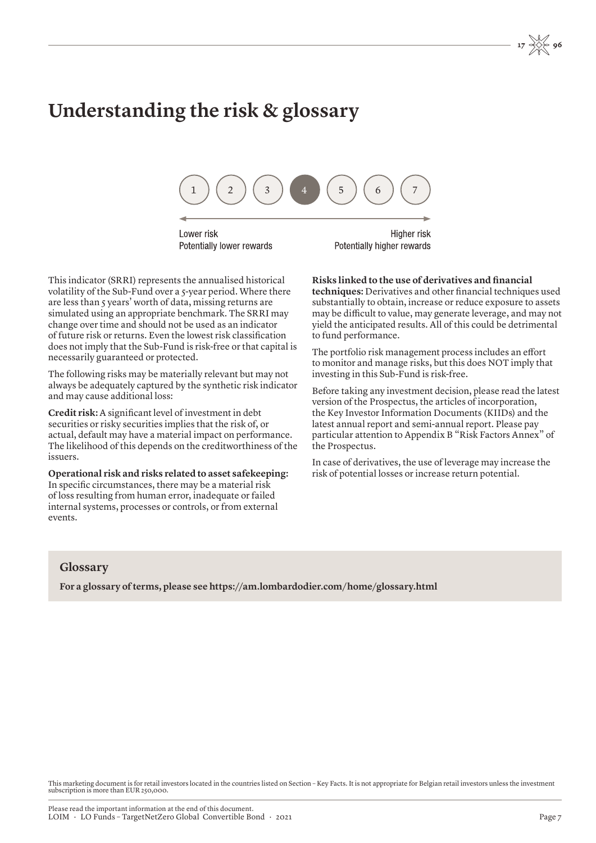## **Understanding the risk & glossary**



Lower risk Potentially lower rewards

Higher risk Potentially higher rewards

This indicator (SRRI) represents the annualised historical volatility of the Sub-Fund over a 5-year period. Where there are less than 5 years' worth of data, missing returns are simulated using an appropriate benchmark. The SRRI may change over time and should not be used as an indicator of future risk or returns. Even the lowest risk classification does not imply that the Sub-Fund is risk-free or that capital is necessarily guaranteed or protected.

The following risks may be materially relevant but may not always be adequately captured by the synthetic risk indicator and may cause additional loss:

**Credit risk:** A significant level of investment in debt securities or risky securities implies that the risk of, or actual, default may have a material impact on performance. The likelihood of this depends on the creditworthiness of the issuers.

**Operational risk and risks related to asset safekeeping:** In specific circumstances, there may be a material risk of loss resulting from human error, inadequate or failed internal systems, processes or controls, or from external events.

**Risks linked to the use of derivatives and financial techniques:** Derivatives and other financial techniques used substantially to obtain, increase or reduce exposure to assets may be difficult to value, may generate leverage, and may not yield the anticipated results. All of this could be detrimental to fund performance.

The portfolio risk management process includes an effort to monitor and manage risks, but this does NOT imply that investing in this Sub-Fund is risk-free.

Before taking any investment decision, please read the latest version of the Prospectus, the articles of incorporation, the Key Investor Information Documents (KIIDs) and the latest annual report and semi-annual report. Please pay particular attention to Appendix B "Risk Factors Annex" of the Prospectus.

In case of derivatives, the use of leverage may increase the risk of potential losses or increase return potential.

#### **Glossary**

**For a glossary of terms, please see https://am.lombardodier.com/home/glossary.html**